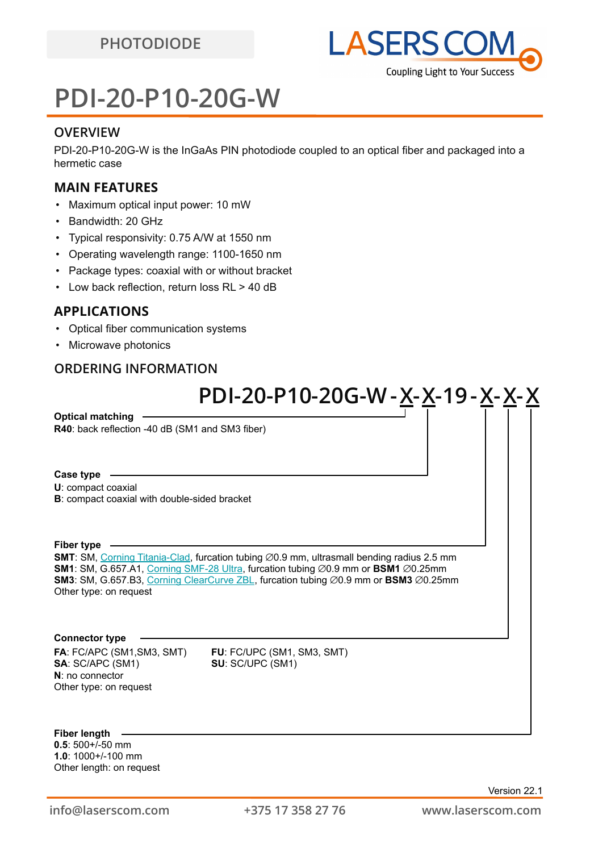# **PDI-20-P10-20G-W**

### **OVERVIEW**

PDI-20-P10-20G-W is the InGaAs PIN photodiode coupled to an optical fiber and packaged into a hermetic case

### **MAIN FEATURES**

- Maximum optical input power: 10 mW
- Bandwidth: 20 GHz
- Typical responsivity: 0.75 A/W at 1550 nm
- Operating wavelength range: 1100-1650 nm
- Package types: coaxial with or without bracket
- Low back reflection, return loss RL > 40 dB

### **APPLICATIONS**

- Optical fiber communication systems
- Microwave photonics

### **ORDERING INFORMATION**

# **PDI-20-P10-20G-W-X-X-19-X-X-X**

**R40**: back reflection -40 dB (SM1 and SM3 fiber) **Optical matching**

### **Case type**

**U**: compact coaxial

**B**: compact coaxial with double-sided bracket

### **Fiber type**

**SMT**: SM, [Corning Titania-Clad](https://drive.google.com/file/d/1TO0m3OXi7mFR9VPvdg1AdosSirg8iwtN/view?usp=sharing), furcation tubing ∅0.9 mm, ultrasmall bending radius 2.5 mm **SM1**: SM, G.657.A1, [Corning SMF-28 Ultra](https://drive.google.com/file/d/1JeMdVLHUIGFdzKdBnzaeOmjsa81S284f/view?usp=sharing), furcation tubing ⌀0.9 mm or **BSM1** ⌀0.25mm **SM3**: SM, G.657.B3, [Corning ClearCurve ZBL](https://drive.google.com/file/d/1BnScs4F0ApGayHF4MQJvm8phLaEPHUV0/view?usp=sharing), furcation tubing ⌀0.9 mm or **BSM3** ⌀0.25mm Other type: on request

### **Connector type**

**FA**: FC/APC (SM1,SM3, SMT) **FU**: FC/UPC (SM1, SM3, SMT) **SA**: SC/APC (SM1) **SU**: SC/UPC (SM1) **N**: no connector Other type: on request

**Fiber length**

**0.5**: 500+/-50 mm **1.0**: 1000+/-100 mm Other length: on request

Version 22.1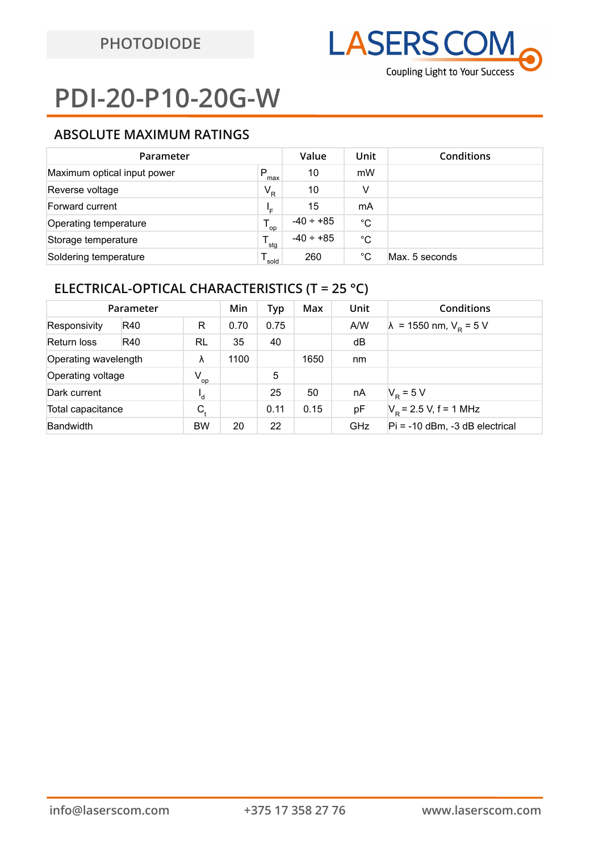# **PDI-20-P10-20G-W**

## **ABSOLUTE MAXIMUM RATINGS**

| Parameter                   | Value    | Unit           | <b>Conditions</b> |                |
|-----------------------------|----------|----------------|-------------------|----------------|
| Maximum optical input power | P<br>max | 10             | mW                |                |
| Reverse voltage             | $V_R$    | 10             | v                 |                |
| Forward current             | ₽⊨       | 15             | mA                |                |
| Operating temperature       | op       | $-40 \div +85$ | °C                |                |
| Storage temperature         | stq      | $-40 \div +85$ | °C                |                |
| Soldering temperature       | sold     | 260            | °C                | Max. 5 seconds |

## **ELECTRICAL-OPTICAL CHARACTERISTICS (T = 25 °C)**

| Parameter            |     |                            | Min  | Typ  | Max  | <b>Unit</b> | Conditions                             |
|----------------------|-----|----------------------------|------|------|------|-------------|----------------------------------------|
| Responsivity         | R40 | R                          | 0.70 | 0.75 |      | A/W         | $\lambda$ = 1550 nm, $V_{\rm R}$ = 5 V |
| Return loss          | R40 | RL                         | 35   | 40   |      | dB          |                                        |
| Operating wavelength |     | λ                          | 1100 |      | 1650 | nm          |                                        |
| Operating voltage    |     | $V_{op}$                   |      | 5    |      |             |                                        |
| Dark current         |     | ۰d                         |      | 25   | 50   | nA          | $V_{\rm p} = 5 V$                      |
| Total capacitance    |     | $C_{\scriptscriptstyle +}$ |      | 0.11 | 0.15 | pF          | $V_p$ = 2.5 V, f = 1 MHz               |
| <b>Bandwidth</b>     |     | <b>BW</b>                  | 20   | 22   |      | <b>GHz</b>  | $Pi = -10$ dBm, $-3$ dB electrical     |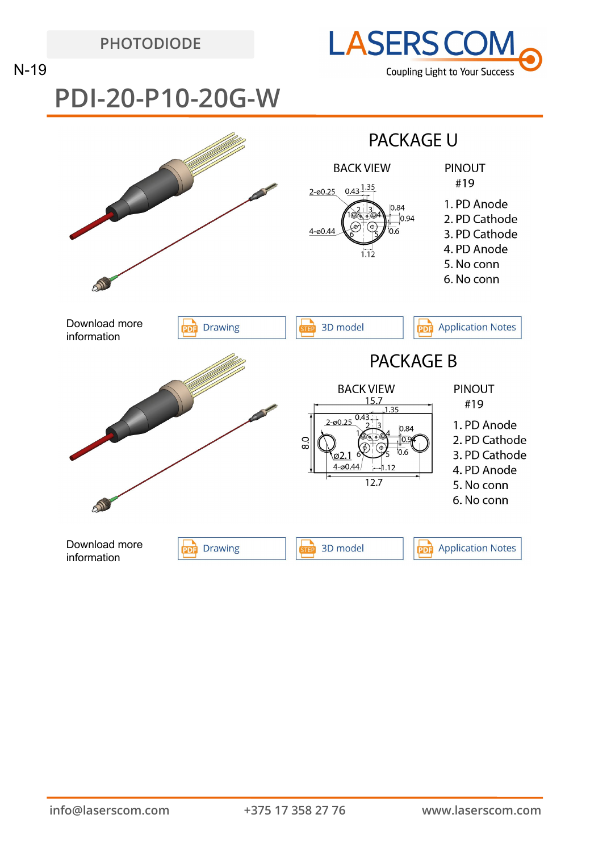**PHOTODIODE**



N-19

**PDI-20-P10-20G-W**